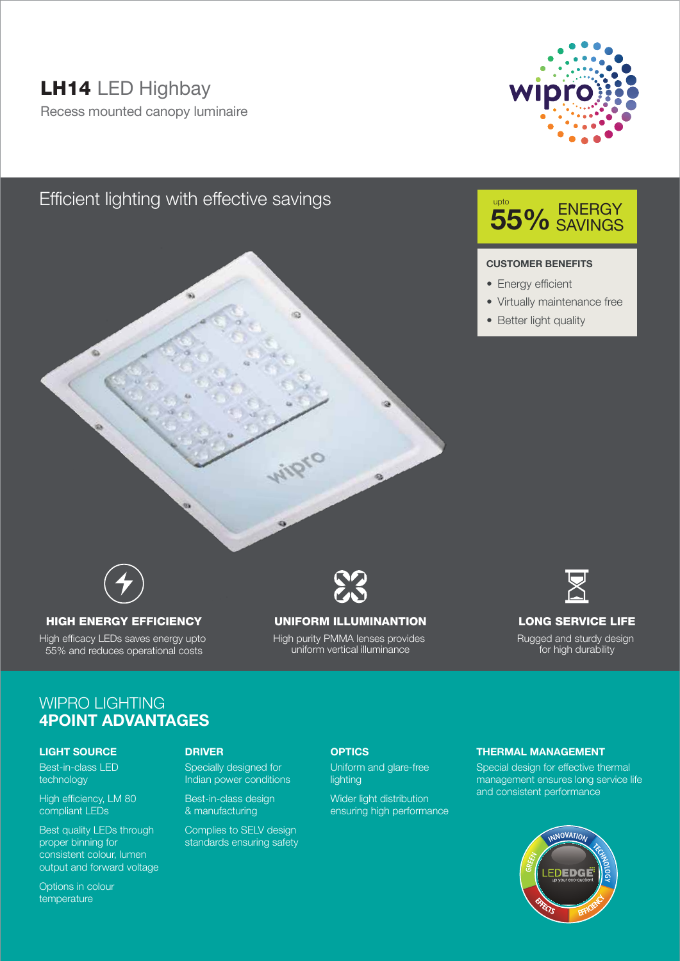# LH14 LED Highbay

Recess mounted canopy luminaire



## Efficient lighting with effective savings



#### **CUSTOMER BENEFITS**

- Energy efficient
- Virtually maintenance free
- Better light quality



### HIGH ENERGY EFFICIENCY

High efficacy LEDs saves energy upto 55% and reduces operational costs



### UNIFORM ILLUMINANTION

High purity PMMA lenses provides uniform vertical illuminance



### LONG SERVICE LIFE

Rugged and sturdy design for high durability

## WIPRO LIGHTING **4POINT ADVANTAGES**

#### **LIGHT SOURCE**

Best-in-class LED technology

High efficiency, LM 80 compliant LEDs

Best quality LEDs through proper binning for consistent colour, lumen output and forward voltage

Specially designed for Indian power conditions

Best-in-class design & manufacturing

Complies to SELV design standards ensuring safety

#### **DRIVER OPTICS**

Uniform and glare-free lighting

Wider light distribution ensuring high performance

#### **THERMAL MANAGEMENT**

Special design for effective thermal management ensures long service life and consistent performance



Options in colour temperature